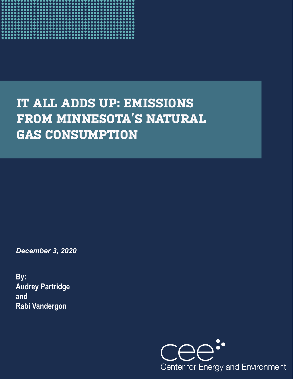

# **IT ALL ADDS UP: EMISSIONS FROM MINNESOTA'S NATURAL GAS CONSUMPTION**

*December 3, 2020* 

**By: Audrey Partridge and Rabi Vandergon**

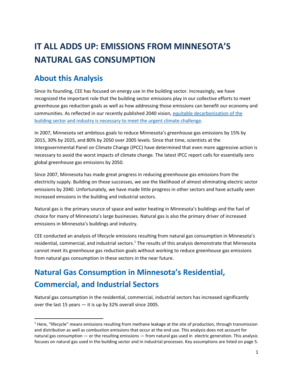## **IT ALL ADDS UP: EMISSIONS FROM MINNESOTA'S NATURAL GAS CONSUMPTION**

## **About this Analysis**

Since its founding, CEE has focused on energy use in the building sector. Increasingly, we have recognized the important role that the building sector emissions play in our collective efforts to meet greenhouse gas reduction goals as well as how addressing those emissions can benefit our economy and communities. As reflected in our recently published 2040 vision, [equitable decarbonization of the](https://www.mncee.org/policy/equitable-decarbonization/)  [building sector and industry is necessary](https://www.mncee.org/policy/equitable-decarbonization/) to meet the urgent climate challenge.

In 2007, Minnesota set ambitous goals to reduce Minnesota's greenhouse gas emissions by 15% by 2015, 30% by 2025, and 80% by 2050 over 2005 levels. Since that time, scientists at the Intergovernmental Panel on Climate Change (IPCC) have determined that even more aggressive action is necessary to avoid the worst impacts of climate change. The latest IPCC report calls for essentially zero global greenhouse gas emissions by 2050.

Since 2007, Minnesota has made great progress in reducing greenhouse gas emissions from the electricity supply. Building on those successes, we see the likelihood of almost eliminating electric sector emissions by 2040. Unfortunately, we have made little progress in other sectors and have actually seen increased emssions in the building and industrial sectors.

Natural gas is the primary source of space and water heating in Minnesota's buildings and the fuel of choice for many of Minnesota's large businesses. Natural gas is also the primary driver of increased emissions in Minnesota's buildings and industry.

CEE conducted an analysis of lifecycle emissions resulting from natural gas consumption in Minnesota's residential, commercial, and industrial sectors.<sup>1</sup> The results of this analysis demonstrate that Minnesota cannot meet its greenhouse gas reduction goals without working to reduce greenhouse gas emissions from natural gas consumption in these sectors in the near future.

## **Natural Gas Consumption in Minnesota's Residential, Commercial, and Industrial Sectors**

Natural gas consumption in the residential, commercial, industrial sectors has increased significantly over the last 15 years — it is up by 32% overall since 2005.

 $1$  Here, "lifecycle" means emissions resulting from methane leakage at the site of production, through transmission and distribution as well as combustion emissions that occur at the end use. This analysis does not account for natural gas consumption — or the resulting emissions — from natural gas used in electric generation. This analysis focuses on natural gas used in the building sector and in industrial processes. Key assumptions are listed on page [5.](#page-5-0)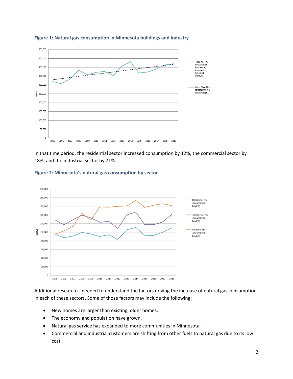



In that time period, the residential sector increased consumption by 12%, the commercial sector by 18%, and the industrial sector by 71%.

> Residential NG Consumption

Commercial NG

Consumption (MMCF)

Industrial NG

Consumption (MMCF)

(MMCF)



**Figure 2: Minnesota's natural gas consumption by sector**

 $\sum_{5}^{6} 100,000$ 

80,000 60,000 40,000 20,000  $\overline{0}$ 

> 2005 2006

2007 2008

Additional research is needed to understand the factors driving the increase of natural gas consumption in each of these sectors. Some of those factors may include the following:

2010 2011 2012 2013 2014 2015 2016 2017 2018

- New homes are larger than existing, older homes.
- The economy and population have grown.

2009

- Natural gas service has expanded to more communities in Minnesota.
- Commercial and industrial customers are shifting from other fuels to natural gas due to its low cost.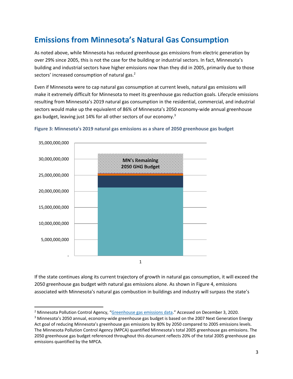## **Emissions from Minnesota's Natural Gas Consumption**

As noted above, while Minnesota has reduced greenhouse gas emissions from electric generation by over 29% since 2005, this is not the case for the building or industrial sectors. In fact, Minnesota's building and industrial sectors have higher emissions now than they did in 2005, primarily due to those sectors' increased consumption of natural gas.<sup>2</sup>

Even if Minnesota were to cap natural gas consumption at current levels, natural gas emissions will make it extremely difficult for Minnesota to meet its greenhouse gas reduction goals. Lifecycle emissions resulting from Minnesota's 2019 natural gas consumption in the residential, commercial, and industrial sectors would make up the equivalent of 86% of Minnesota's 2050 economy-wide annual greenhouse gas budget, leaving just 14% for all other sectors of our economy.<sup>3</sup>



#### **Figure 3: Minnesota's 2019 natural gas emissions as a share of 2050 greenhouse gas budget**

If the state continues along its current trajectory of growth in natural gas consumption, it will exceed the 2050 greenhouse gas budget with natural gas emissions alone. As shown in Figure 4, emissions associated with Minnesota's natural gas combustion in buildings and industry will surpass the state's

<sup>2</sup> Minnesota Pollution Control Agency, "[Greenhouse gas emissions data.](https://www.pca.state.mn.us/air/greenhouse-gas-emissions-data)" Accessed on December 3, 2020.

<sup>&</sup>lt;sup>3</sup> Minnesota's 2050 annual, economy-wide greenhouse gas budget is based on the 2007 Next Generation Energy Act goal of reducing Minnesota's greenhouse gas emissions by 80% by 2050 compared to 2005 emissions levels. The Minnesota Pollution Control Agency (MPCA) quantified Minnesota's total 2005 greenhouse gas emissions. The 2050 greenhouse gas budget referenced throughout this document reflects 20% of the total 2005 greenhouse gas emissions quantified by the MPCA.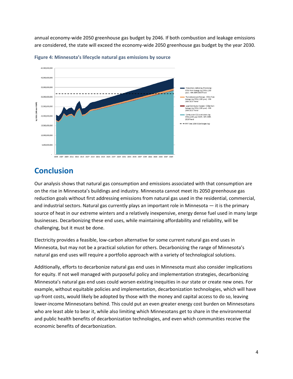annual economy-wide 2050 greenhouse gas budget by 2046. If both combustion and leakage emissions are considered, the state will exceed the economy-wide 2050 greenhouse gas budget by the year 2030.



**Figure 4: Minnesota's lifecycle natural gas emissions by source**

#### **Conclusion**

Our analysis shows that natural gas consumption and emissions associated with that consumption are on the rise in Minnesota's buildings and industry. Minnesota cannot meet its 2050 greenhouse gas reduction goals without first addressing emissions from natural gas used in the residential, commercial, and industrial sectors. Natural gas currently plays an important role in Minnesota — it is the primary source of heat in our extreme winters and a relatively inexpensive, energy dense fuel used in many large businesses. Decarbonizing these end uses, while maintaining affordability and reliability, will be challenging, but it must be done.

Electricity provides a feasible, low-carbon alternative for some current natural gas end uses in Minnesota, but may not be a practical solution for others. Decarbonizing the range of Minnesota's natural gas end uses will require a portfolio approach with a variety of technological solutions.

Additionally, efforts to decarbonize natural gas end uses in Minnesota must also consider implications for equity. If not well managed with purposeful policy and implementation strategies, decarbonizing Minnesota's natural gas end uses could worsen existing inequities in our state or create new ones. For example, without equitable policies and implementation, decarbonization technologies, which will have up-front costs, would likely be adopted by those with the money and capital access to do so, leaving lower-income Minnesotans behind. This could put an even greater energy cost burden on Minnesotans who are least able to bear it, while also limiting which Minnesotans get to share in the environmental and public health benefits of decarbonization technologies, and even which communities receive the economic benefits of decarbonization.